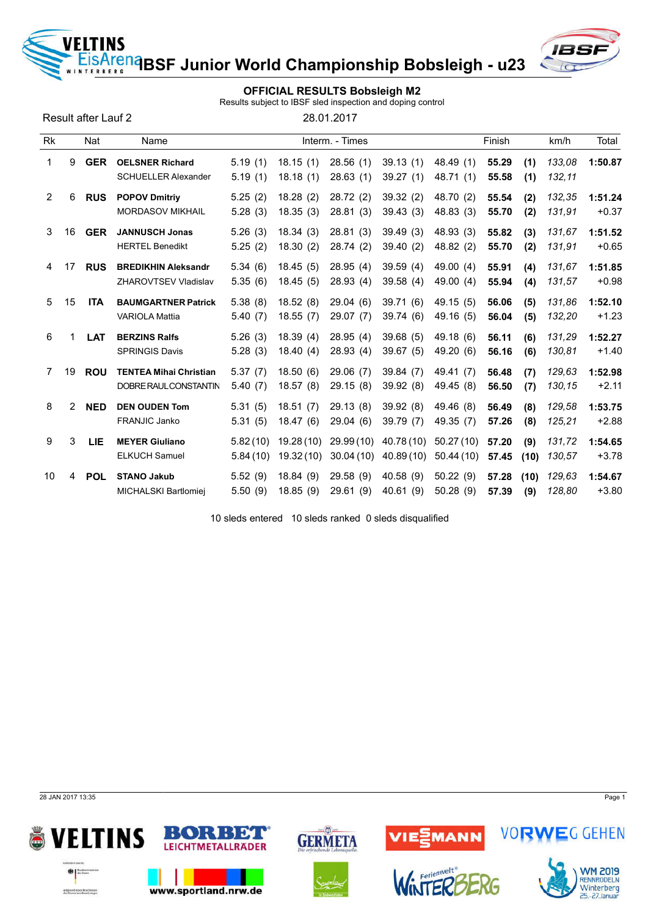<mark>ie<sup>na</sup>BSF Junior World Championship Bobsleigh - u23</mark>

## OFFICIAL RESULTS Bobsleigh M2

Results subject to IBSF sled inspection and doping control

Result after Lauf 2

VELTINS

ERBERG

|  | 28.01.2017 |  |
|--|------------|--|
|  |            |  |

| Rk |    | Nat        | Name                                                      |                      |                        | Interm. - Times        |                         |                        | Finish         |             | km/h             | Total              |
|----|----|------------|-----------------------------------------------------------|----------------------|------------------------|------------------------|-------------------------|------------------------|----------------|-------------|------------------|--------------------|
| 1  | 9  | <b>GER</b> | <b>OELSNER Richard</b><br><b>SCHUELLER Alexander</b>      | 5.19(1)<br>5.19(1)   | 18.15(1)<br>18.18(1)   | 28.56(1)<br>28.63(1)   | 39.13(1)<br>39.27(1)    | 48.49 (1)<br>48.71 (1) | 55.29<br>55.58 | (1)<br>(1)  | 133,08<br>132,11 | 1:50.87            |
| 2  | 6  | <b>RUS</b> | <b>POPOV Dmitriv</b><br><b>MORDASOV MIKHAIL</b>           | 5.25(2)<br>5.28(3)   | 18.28(2)<br>18.35(3)   | 28.72(2)<br>28.81(3)   | 39.32 (2)<br>39.43(3)   | 48.70 (2)<br>48.83 (3) | 55.54<br>55.70 | (2)<br>(2)  | 132,35<br>131,91 | 1:51.24<br>$+0.37$ |
| 3  | 16 | <b>GER</b> | <b>JANNUSCH Jonas</b><br><b>HERTEL Benedikt</b>           | 5.26(3)<br>5.25(2)   | 18.34(3)<br>18.30(2)   | 28.81(3)<br>28.74(2)   | 39.49(3)<br>39.40 (2)   | 48.93 (3)<br>48.82 (2) | 55.82<br>55.70 | (3)<br>(2)  | 131,67<br>131,91 | 1:51.52<br>$+0.65$ |
| 4  | 17 | <b>RUS</b> | <b>BREDIKHIN Aleksandr</b><br><b>ZHAROVTSEV Vladislav</b> | 5.34(6)<br>5.35(6)   | 18.45(5)<br>18.45(5)   | 28.95(4)<br>28.93(4)   | 39.59(4)<br>39.58(4)    | 49.00 (4)<br>49.00 (4) | 55.91<br>55.94 | (4)<br>(4)  | 131,67<br>131,57 | 1:51.85<br>$+0.98$ |
| 5  | 15 | <b>ITA</b> | <b>BAUMGARTNER Patrick</b><br><b>VARIOLA Mattia</b>       | 5.38(8)<br>5.40(7)   | 18.52(8)<br>18.55(7)   | 29.04(6)<br>29.07 (7)  | 39.71(6)<br>39.74 (6)   | 49.15 (5)<br>49.16 (5) | 56.06<br>56.04 | (5)<br>(5)  | 131,86<br>132,20 | 1:52.10<br>$+1.23$ |
| 6  |    | <b>LAT</b> | <b>BERZINS Ralfs</b><br><b>SPRINGIS Davis</b>             | 5.26(3)<br>5.28(3)   | 18.39(4)<br>18.40(4)   | 28.95(4)<br>28.93(4)   | 39.68(5)<br>39.67(5)    | 49.18 (6)<br>49.20 (6) | 56.11<br>56.16 | (6)<br>(6)  | 131,29<br>130,81 | 1:52.27<br>$+1.40$ |
| 7  | 19 | <b>ROU</b> | <b>TENTEA Mihai Christian</b><br>DOBRE RAUL CONSTANTIN    | 5.37(7)<br>5.40(7)   | 18.50(6)<br>18.57(8)   | 29.06(7)<br>29.15(8)   | 39.84 (7)<br>39.92 (8)  | 49.41 (7)<br>49.45 (8) | 56.48<br>56.50 | (7)<br>(7)  | 129,63<br>130,15 | 1:52.98<br>$+2.11$ |
| 8  | 2  | <b>NED</b> | <b>DEN OUDEN Tom</b><br>FRANJIC Janko                     | 5.31(5)<br>5.31(5)   | 18.51(7)<br>18.47(6)   | 29.13(8)<br>29.04(6)   | 39.92(8)<br>39.79 (7)   | 49.46 (8)<br>49.35 (7) | 56.49<br>57.26 | (8)<br>(8)  | 129,58<br>125,21 | 1:53.75<br>$+2.88$ |
| 9  | 3  | <b>LIE</b> | <b>MEYER Giuliano</b><br><b>ELKUCH Samuel</b>             | 5.82(10)<br>5.84(10) | 19.28(10)<br>19.32(10) | 29.99(10)<br>30.04(10) | 40.78 (10)<br>40.89(10) | 50.27(10)<br>50.44(10) | 57.20<br>57.45 | (9)<br>(10) | 131.72<br>130,57 | 1:54.65<br>$+3.78$ |
| 10 | 4  | <b>POL</b> | <b>STANO Jakub</b><br>MICHALSKI Bartlomiej                | 5.52(9)<br>5.50(9)   | 18.84(9)<br>18.85(9)   | 29.58(9)<br>29.61(9)   | 40.58(9)<br>40.61(9)    | 50.22(9)<br>50.28(9)   | 57.28<br>57.39 | (10)<br>(9) | 129,63<br>128,80 | 1:54.67<br>$+3.80$ |

10 sleds entered 10 sleds ranked 0 sleds disqualified









VIE<mark>S</mark>MANN



**VORWEG GEHEN** 

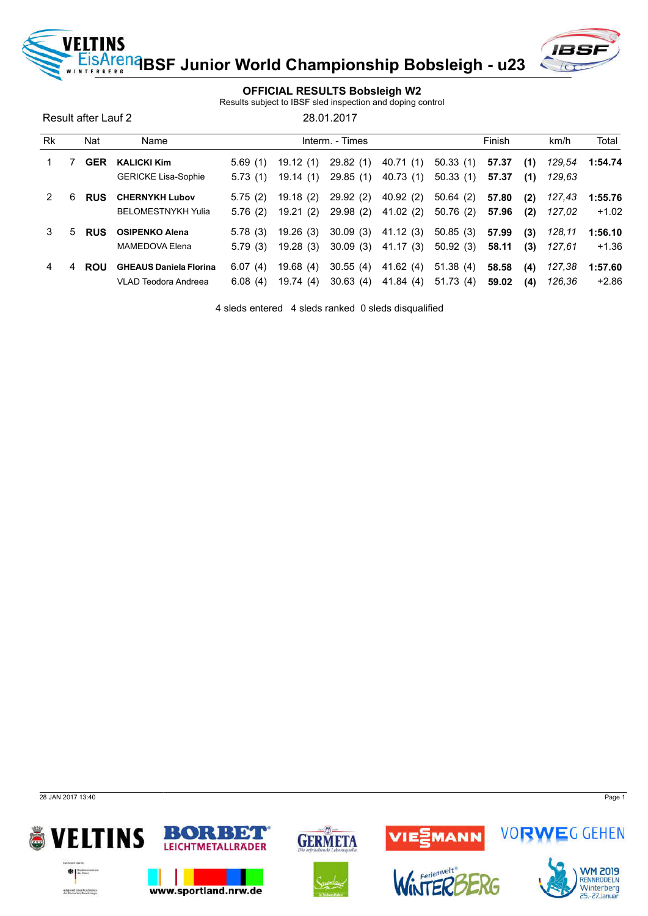<mark><sup>na</sup>BSF Junior World Championship Bobsleigh - u23</mark>



## OFFICIAL RESULTS Bobsleigh W2

Results subject to IBSF sled inspection and doping control

Result after Lauf 2 28.01.2017

VELTINS

| <b>Rk</b> |    | Nat        | Name                          |         |           | Interm. - Times |                     |          | Finish |     | km/h   | Total   |
|-----------|----|------------|-------------------------------|---------|-----------|-----------------|---------------------|----------|--------|-----|--------|---------|
|           |    | <b>GER</b> | <b>KALICKI Kim</b>            | 5.69(1) | 19.12(1)  | 29.82 (1)       | 40.71 (1)           | 50.33(1) | 57.37  | (1) | 129.54 | 1:54.74 |
|           |    |            | <b>GERICKE Lisa-Sophie</b>    | 5.73(1) | 19.14(1)  | 29.85 (1)       | 40.73 (1)           | 50.33(1) | 57.37  | (1) | 129.63 |         |
|           | 6  | <b>RUS</b> | <b>CHERNYKH Lubov</b>         | 5.75(2) | 19.18(2)  | 29.92(2)        | 40.92(2)            | 50.64(2) | 57.80  | (2) | 127,43 | 1:55.76 |
|           |    |            | <b>BELOMESTNYKH Yulia</b>     | 5.76(2) | 19.21(2)  |                 | 29.98 (2) 41.02 (2) | 50.76(2) | 57.96  | (2) | 127.02 | $+1.02$ |
| 3         | 5. | <b>RUS</b> | <b>OSIPENKO Alena</b>         | 5.78(3) | 19.26(3)  | 30.09(3)        | 41.12 (3)           | 50.85(3) | 57.99  | (3) | 128.11 | 1:56.10 |
|           |    |            | MAMEDOVA Elena                | 5.79(3) | 19.28(3)  | 30.09(3)        | 41.17 (3)           | 50.92(3) | 58.11  | (3) | 127.61 | $+1.36$ |
| 4         | 4  | <b>ROU</b> | <b>GHEAUS Daniela Florina</b> | 6.07(4) | 19.68(4)  | 30.55(4)        | 41.62 (4)           | 51.38(4) | 58.58  | (4) | 127,38 | 1:57.60 |
|           |    |            | VLAD Teodora Andreea          | 6.08(4) | 19.74 (4) | 30.63(4)        | 41.84 (4)           | 51.73(4) | 59.02  | (4) | 126.36 | $+2.86$ |

4 sleds entered 4 sleds ranked 0 sleds disqualified

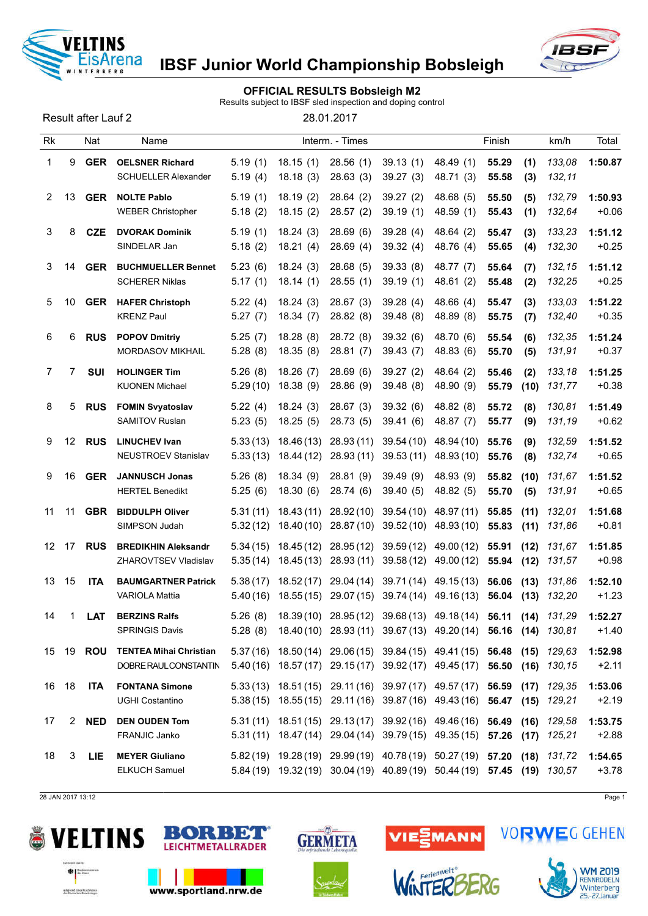

## OFFICIAL RESULTS Bobsleigh M2

Results subject to IBSF sled inspection and doping control

Result after Lauf 2 28.01.2017

| <b>Rk</b>             |                 | Nat        | Name                                                   |                      |                          | Interm. - Times         |                                                                                                                                                    |                          | Finish         |              | km/h             | Total              |
|-----------------------|-----------------|------------|--------------------------------------------------------|----------------------|--------------------------|-------------------------|----------------------------------------------------------------------------------------------------------------------------------------------------|--------------------------|----------------|--------------|------------------|--------------------|
| 1                     | 9               | <b>GER</b> | <b>OELSNER Richard</b><br><b>SCHUELLER Alexander</b>   | 5.19(1)<br>5.19(4)   | 18.15(1)<br>18.18(3)     | 28.56(1)<br>28.63(3)    | 39.13(1)<br>39.27(3)                                                                                                                               | 48.49 (1)<br>48.71 (3)   | 55.29<br>55.58 | (1)<br>(3)   | 133,08<br>132,11 | 1:50.87            |
| $\mathbf{2}^{\prime}$ | 13              | <b>GER</b> | <b>NOLTE Pablo</b><br><b>WEBER Christopher</b>         | 5.19(1)<br>5.18(2)   | 18.19(2)<br>18.15(2)     | 28.64(2)<br>28.57(2)    | 39.27(2)<br>39.19(1)                                                                                                                               | 48.68 (5)<br>48.59 (1)   | 55.50<br>55.43 | (5)<br>(1)   | 132,79<br>132,64 | 1:50.93<br>$+0.06$ |
| 3                     | 8               | <b>CZE</b> | <b>DVORAK Dominik</b><br>SINDELAR Jan                  | 5.19(1)<br>5.18(2)   | 18.24(3)<br>18.21(4)     | 28.69(6)<br>28.69(4)    | 39.28(4)<br>39.32(4)                                                                                                                               | 48.64 (2)<br>48.76 (4)   | 55.47<br>55.65 | (3)<br>(4)   | 133,23<br>132,30 | 1:51.12<br>$+0.25$ |
| 3                     | 14              | <b>GER</b> | <b>BUCHMUELLER Bennet</b><br><b>SCHERER Niklas</b>     | 5.23(6)<br>5.17(1)   | 18.24(3)<br>18.14(1)     | 28.68(5)<br>28.55(1)    | 39.33(8)<br>39.19(1)                                                                                                                               | 48.77 (7)<br>48.61 (2)   | 55.64<br>55.48 | (7)<br>(2)   | 132,15<br>132,25 | 1:51.12<br>$+0.25$ |
| 5                     | 10              | <b>GER</b> | <b>HAFER Christoph</b><br><b>KRENZ Paul</b>            | 5.22(4)<br>5.27(7)   | 18.24(3)<br>18.34(7)     | 28.67(3)<br>28.82 (8)   | 39.28(4)<br>39.48(8)                                                                                                                               | 48.66 (4)<br>48.89 (8)   | 55.47<br>55.75 | (3)<br>(7)   | 133,03<br>132,40 | 1:51.22<br>$+0.35$ |
| 6                     | 6               | <b>RUS</b> | <b>POPOV Dmitriy</b><br><b>MORDASOV MIKHAIL</b>        | 5.25(7)<br>5.28(8)   | 18.28(8)<br>18.35(8)     | 28.72 (8)<br>28.81(7)   | 39.32(6)<br>39.43(7)                                                                                                                               | 48.70 (6)<br>48.83 (6)   | 55.54<br>55.70 | (6)<br>(5)   | 132,35<br>131,91 | 1:51.24<br>$+0.37$ |
| 7                     | 7               | <b>SUI</b> | <b>HOLINGER Tim</b><br><b>KUONEN Michael</b>           | 5.26(8)<br>5.29(10)  | 18.26(7)<br>18.38(9)     | 28.69(6)<br>28.86(9)    | 39.27(2)<br>39.48(8)                                                                                                                               | 48.64 (2)<br>48.90 (9)   | 55.46<br>55.79 | (2)<br>(10)  | 133,18<br>131,77 | 1:51.25<br>$+0.38$ |
| 8                     | 5               | <b>RUS</b> | <b>FOMIN Svyatoslav</b><br><b>SAMITOV Ruslan</b>       | 5.22(4)<br>5.23(5)   | 18.24(3)<br>18.25(5)     | 28.67(3)<br>28.73(5)    | 39.32(6)<br>39.41(6)                                                                                                                               | 48.82 (8)<br>48.87 (7)   | 55.72<br>55.77 | (8)<br>(9)   | 130,81<br>131,19 | 1:51.49<br>$+0.62$ |
| 9                     | 12 <sup>°</sup> | <b>RUS</b> | <b>LINUCHEV Ivan</b><br>NEUSTROEV Stanislav            | 5.33(13)<br>5.33(13) | 18.46 (13)<br>18.44 (12) | 28.93(11)<br>28.93 (11) | 39.54(10)<br>39.53(11)                                                                                                                             | 48.94 (10)<br>48.93 (10) | 55.76<br>55.76 | (9)<br>(8)   | 132,59<br>132,74 | 1:51.52<br>$+0.65$ |
| 9                     | 16              | <b>GER</b> | <b>JANNUSCH Jonas</b><br><b>HERTEL Benedikt</b>        | 5.26(8)<br>5.25(6)   | 18.34(9)<br>18.30(6)     | 28.81(9)<br>28.74(6)    | 39.49 (9)<br>39.40(5)                                                                                                                              | 48.93 (9)<br>48.82 (5)   | 55.82<br>55.70 | (10)<br>(5)  | 131,67<br>131,91 | 1:51.52<br>$+0.65$ |
| 11                    | 11              | <b>GBR</b> | <b>BIDDULPH Oliver</b><br>SIMPSON Judah                | 5.31(11)<br>5.32(12) | 18.43 (11)               | 28.92 (10)              | 39.54 (10)<br>18.40 (10) 28.87 (10) 39.52 (10)                                                                                                     | 48.97 (11)<br>48.93 (10) | 55.85<br>55.83 | (11)<br>(11) | 132,01<br>131,86 | 1:51.68<br>$+0.81$ |
| 12 <sup>2</sup>       | 17              | <b>RUS</b> | <b>BREDIKHIN Aleksandr</b><br>ZHAROVTSEV Vladislav     | 5.34(15)<br>5.35(14) | 18.45 (12)<br>18.45 (13) | 28.95 (12)<br>28.93(11) | 39.59(12)<br>39.58(12)                                                                                                                             | 49.00 (12)<br>49.00 (12) | 55.91<br>55.94 | (12)<br>(12) | 131,67<br>131,57 | 1:51.85<br>$+0.98$ |
| 13                    | 15              | <b>ITA</b> | <b>BAUMGARTNER Patrick</b><br><b>VARIOLA Mattia</b>    | 5.38(17)<br>5.40(16) | 18.52 (17)               |                         | 29.04 (14) 39.71 (14) 49.15 (13)<br>18.55 (15) 29.07 (15) 39.74 (14) 49.16 (13)                                                                    |                          | 56.06<br>56.04 | (13)<br>(13) | 131,86<br>132,20 | 1:52.10<br>$+1.23$ |
| 14                    | 1               | <b>LAT</b> | <b>BERZINS Ralfs</b><br><b>SPRINGIS Davis</b>          | 5.26(8)<br>5.28(8)   |                          |                         | 18.39(10) 28.95(12) 39.68(13) 49.18(14)<br>18.40 (10) 28.93 (11) 39.67 (13) 49.20 (14) 56.16 (14) 130,81                                           |                          | 56.11          |              | $(14)$ $131.29$  | 1:52.27<br>$+1.40$ |
| 15                    | 19              | ROU        | <b>TENTEA Mihai Christian</b><br>DOBRE RAUL CONSTANTIN |                      |                          |                         | 5.37 (16) 18.50 (14) 29.06 (15) 39.84 (15) 49.41 (15) 56.48<br>5.40(16) 18.57(17) 29.15(17) 39.92(17) 49.45(17) 56.50 (16) 130,15                  |                          |                |              | $(15)$ 129,63    | 1:52.98<br>$+2.11$ |
| 16                    | 18              | <b>ITA</b> | <b>FONTANA Simone</b><br>UGHI Costantino               |                      |                          |                         | 5.33(13) 18.51(15) 29.11(16) 39.97(17) 49.57(17) 56.59 (17) 129,35<br>5.38 (15) 18.55 (15) 29.11 (16) 39.87 (16) 49.43 (16) 56.47 (15) 129,21      |                          |                |              |                  | 1:53.06<br>$+2.19$ |
| 17                    | 2               | <b>NED</b> | <b>DEN OUDEN Tom</b><br>FRANJIC Janko                  | 5.31(11)             |                          |                         | 18.51 (15) 29.13 (17) 39.92 (16) 49.46 (16) 56.49 (16)<br>5.31 (11) 18.47 (14) 29.04 (14) 39.79 (15) 49.35 (15) 57.26 (17) 125,21                  |                          |                |              | 129,58           | 1:53.75<br>$+2.88$ |
| 18                    | 3               | <b>LIE</b> | <b>MEYER Giuliano</b><br>ELKUCH Samuel                 |                      |                          |                         | 5.82 (19) 19.28 (19) 29.99 (19) 40.78 (19) 50.27 (19) 57.20 (18) 131,72<br>5.84 (19) 19.32 (19) 30.04 (19) 40.89 (19) 50.44 (19) 57.45 (19) 130,57 |                          |                |              |                  | 1:54.65<br>$+3.78$ |

28 JAN 2017 13:12 Page 1





www.sportland.nrw.de



 $\omega$ 



Ferienwelt<sup>o</sup>





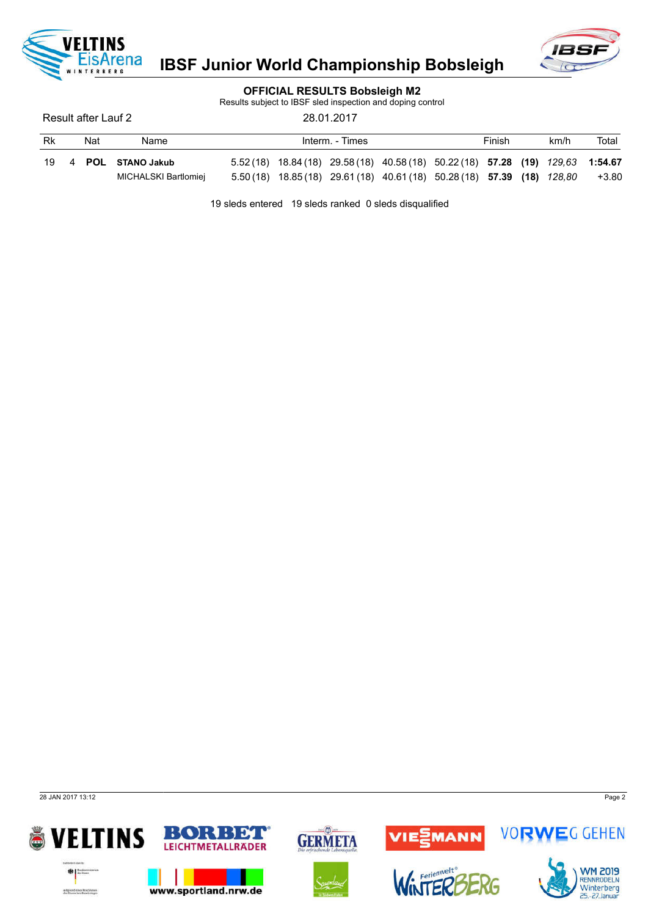



### OFFICIAL RESULTS Bobsleigh M2

Results subject to IBSF sled inspection and doping control

Result after Lauf 2 28.01.2017 2

| Rk | Nat | Name                 | Finish<br>Interm. - Times |  |                                                                                  |  |  |  |  | Total |       |
|----|-----|----------------------|---------------------------|--|----------------------------------------------------------------------------------|--|--|--|--|-------|-------|
|    |     | 19 4 POL STANO Jakub |                           |  | $5.52(18)$ 18.84 (18) 29.58 (18) 40.58 (18) 50.22 (18) 57.28 (19) 129.63 1:54.67 |  |  |  |  |       |       |
|    |     | MICHALSKI Bartlomiej |                           |  | 5.50 (18) 18.85 (18) 29.61 (18) 40.61 (18) 50.28 (18) 57.39 (18) 128,80          |  |  |  |  |       | +3.80 |

19 sleds entered 19 sleds ranked 0 sleds disqualified

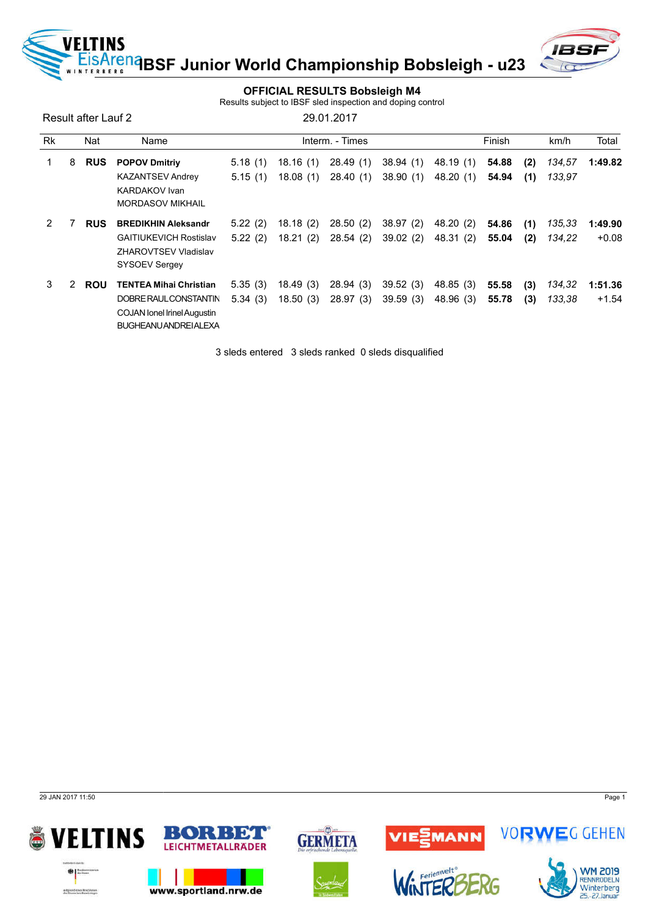<mark>e<sup>na</sup>BSF Junior World Championship Bobsleigh - u23</mark>



### OFFICIAL RESULTS Bobsleigh M4

Results subject to IBSF sled inspection and doping control

Result after Lauf 2 29.01.2017

VELTINS

**RERG** 

| <b>Rk</b> |   | Nat        | Name                               |         |          | Interm. - Times |          |           | Finish |     | km/h   | Total   |
|-----------|---|------------|------------------------------------|---------|----------|-----------------|----------|-----------|--------|-----|--------|---------|
| 1.        | 8 | <b>RUS</b> | <b>POPOV Dmitriy</b>               | 5.18(1) | 18.16(1) | 28.49(1)        | 38.94(1) | 48.19 (1) | 54.88  | (2) | 134,57 | 1:49.82 |
|           |   |            | <b>KAZANTSEV Andrey</b>            | 5.15(1) | 18.08(1) | 28.40 (1)       | 38.90(1) | 48.20(1)  | 54.94  | (1) | 133.97 |         |
|           |   |            | <b>KARDAKOV</b> Ivan               |         |          |                 |          |           |        |     |        |         |
|           |   |            | <b>MORDASOV MIKHAIL</b>            |         |          |                 |          |           |        |     |        |         |
| 2         |   | <b>RUS</b> | <b>BREDIKHIN Aleksandr</b>         | 5.22(2) | 18.18(2) | 28.50(2)        | 38.97(2) | 48.20 (2) | 54.86  | (1) | 135,33 | 1:49.90 |
|           |   |            | <b>GAITIUKEVICH Rostislav</b>      | 5.22(2) | 18.21(2) | 28.54 (2)       | 39.02(2) | 48.31 (2) | 55.04  | (2) | 134,22 | $+0.08$ |
|           |   |            | <b>ZHAROVTSEV Vladislav</b>        |         |          |                 |          |           |        |     |        |         |
|           |   |            | <b>SYSOEV Sergey</b>               |         |          |                 |          |           |        |     |        |         |
| 3         | 2 | <b>ROU</b> | <b>TENTEA Mihai Christian</b>      | 5.35(3) | 18.49(3) | 28.94(3)        | 39.52(3) | 48.85 (3) | 55.58  | (3) | 134,32 | 1:51.36 |
|           |   |            | DOBRE RAUL CONSTANTIN              | 5.34(3) | 18.50(3) | 28.97(3)        | 39.59(3) | 48.96 (3) | 55.78  | (3) | 133,38 | $+1.54$ |
|           |   |            | <b>COJAN lonel Irinel Augustin</b> |         |          |                 |          |           |        |     |        |         |
|           |   |            | <b>BUGHEANU ANDREI ALEXA</b>       |         |          |                 |          |           |        |     |        |         |

3 sleds entered 3 sleds ranked 0 sleds disqualified

29 JAN 2017 11:50 Page 1

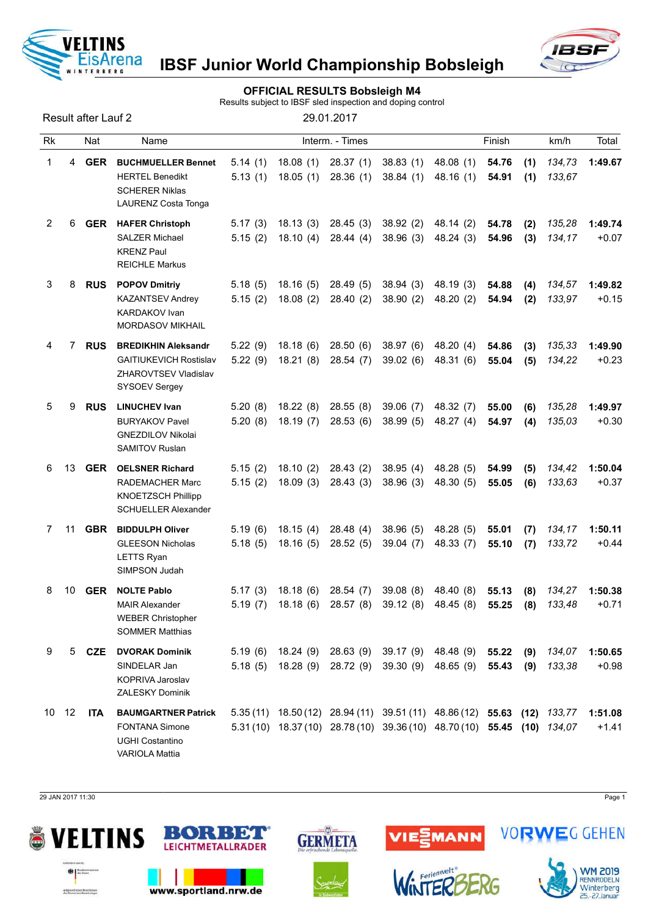

## OFFICIAL RESULTS Bobsleigh M4

Results subject to IBSF sled inspection and doping control

Result after Lauf 2 29.01.2017

| <b>Rk</b> |    | Nat        | Name                                                                                                       |                    |                      | Interm. - Times       |                        |                                                                                                                                                    | Finish         |            | km/h             | Total              |
|-----------|----|------------|------------------------------------------------------------------------------------------------------------|--------------------|----------------------|-----------------------|------------------------|----------------------------------------------------------------------------------------------------------------------------------------------------|----------------|------------|------------------|--------------------|
| 1         | 4  | <b>GER</b> | <b>BUCHMUELLER Bennet</b><br><b>HERTEL Benedikt</b><br><b>SCHERER Niklas</b><br><b>LAURENZ Costa Tonga</b> | 5.14(1)<br>5.13(1) | 18.08(1)<br>18.05(1) | 28.37(1)<br>28.36(1)  | 38.83(1)<br>38.84(1)   | 48.08(1)<br>48.16(1)                                                                                                                               | 54.76<br>54.91 | (1)<br>(1) | 134,73<br>133,67 | 1:49.67            |
| 2         | 6  | GER        | <b>HAFER Christoph</b><br><b>SALZER Michael</b><br><b>KRENZ Paul</b><br><b>REICHLE Markus</b>              | 5.17(3)<br>5.15(2) | 18.13(3)<br>18.10(4) | 28.45(3)<br>28.44(4)  | 38.92(2)<br>38.96(3)   | 48.14 (2)<br>48.24 (3)                                                                                                                             | 54.78<br>54.96 | (2)<br>(3) | 135,28<br>134,17 | 1:49.74<br>$+0.07$ |
| 3         | 8  | <b>RUS</b> | <b>POPOV Dmitriy</b><br><b>KAZANTSEV Andrey</b><br>KARDAKOV Ivan<br><b>MORDASOV MIKHAIL</b>                | 5.18(5)<br>5.15(2) | 18.16(5)<br>18.08(2) | 28.49(5)<br>28.40(2)  | 38.94(3)<br>38.90(2)   | 48.19 (3)<br>48.20 (2)                                                                                                                             | 54.88<br>54.94 | (4)<br>(2) | 134,57<br>133,97 | 1:49.82<br>$+0.15$ |
| 4         | 7  | <b>RUS</b> | <b>BREDIKHIN Aleksandr</b><br><b>GAITIUKEVICH Rostislav</b><br>ZHAROVTSEV Vladislav<br>SYSOEV Sergey       | 5.22(9)<br>5.22(9) | 18.18(6)<br>18.21(8) | 28.50(6)<br>28.54(7)  | 38.97(6)<br>39.02(6)   | 48.20 (4)<br>48.31 (6)                                                                                                                             | 54.86<br>55.04 | (3)<br>(5) | 135,33<br>134,22 | 1:49.90<br>$+0.23$ |
| 5         | 9  | <b>RUS</b> | <b>LINUCHEV Ivan</b><br><b>BURYAKOV Pavel</b><br><b>GNEZDILOV Nikolai</b><br><b>SAMITOV Ruslan</b>         | 5.20(8)<br>5.20(8) | 18.22(8)<br>18.19(7) | 28.55(8)<br>28.53(6)  | 39.06(7)<br>38.99(5)   | 48.32 (7)<br>48.27 (4)                                                                                                                             | 55.00<br>54.97 | (6)<br>(4) | 135,28<br>135,03 | 1:49.97<br>$+0.30$ |
| 6         | 13 | <b>GER</b> | <b>OELSNER Richard</b><br>RADEMACHER Marc<br><b>KNOETZSCH Phillipp</b><br><b>SCHUELLER Alexander</b>       | 5.15(2)<br>5.15(2) | 18.10(2)<br>18.09(3) | 28.43(2)<br>28.43(3)  | 38.95(4)<br>38.96(3)   | 48.28 (5)<br>48.30 (5)                                                                                                                             | 54.99<br>55.05 | (5)<br>(6) | 134,42<br>133,63 | 1:50.04<br>$+0.37$ |
| 7         | 11 | <b>GBR</b> | <b>BIDDULPH Oliver</b><br><b>GLEESON Nicholas</b><br><b>LETTS Ryan</b><br>SIMPSON Judah                    | 5.19(6)<br>5.18(5) | 18.15(4)<br>18.16(5) | 28.48 (4)<br>28.52(5) | 38.96(5)<br>39.04(7)   | 48.28 (5)<br>48.33 (7)                                                                                                                             | 55.01<br>55.10 | (7)<br>(7) | 134,17<br>133,72 | 1:50.11<br>$+0.44$ |
| 8         | 10 | <b>GER</b> | <b>NOLTE Pablo</b><br><b>MAIR Alexander</b><br><b>WEBER Christopher</b><br><b>SOMMER Matthias</b>          | 5.17(3)<br>5.19(7) | 18.18(6)<br>18.18(6) | 28.54 (7)<br>28.57(8) | 39.08(8)<br>39.12(8)   | 48.40 (8)<br>48.45 (8)                                                                                                                             | 55.13<br>55.25 | (8)<br>(8) | 134,27<br>133,48 | 1:50.38<br>$+0.71$ |
| 9         | 5  | <b>CZE</b> | <b>DVORAK Dominik</b><br>SINDELAR Jan<br>KOPRIVA Jaroslav<br><b>ZALESKY Dominik</b>                        | 5.19(6)<br>5.18(5) | 18.24(9)<br>18.28(9) | 28.63(9)<br>28.72 (9) | 39.17 (9)<br>39.30 (9) | 48.48 (9)<br>48.65 (9)                                                                                                                             | 55.22<br>55.43 | (9)<br>(9) | 134,07<br>133,38 | 1:50.65<br>$+0.98$ |
| 10        | 12 | <b>ITA</b> | <b>BAUMGARTNER Patrick</b><br><b>FONTANA Simone</b><br><b>UGHI Costantino</b><br><b>VARIOLA Mattia</b>     |                    |                      |                       |                        | 5.35 (11) 18.50 (12) 28.94 (11) 39.51 (11) 48.86 (12) 55.63 (12) 133,77<br>5.31 (10) 18.37 (10) 28.78 (10) 39.36 (10) 48.70 (10) 55.45 (10) 134.07 |                |            |                  | 1:51.08<br>$+1.41$ |

29 JAN 2017 11:30 Page 1





www.sportland.nrw.de



 $\omega$ 





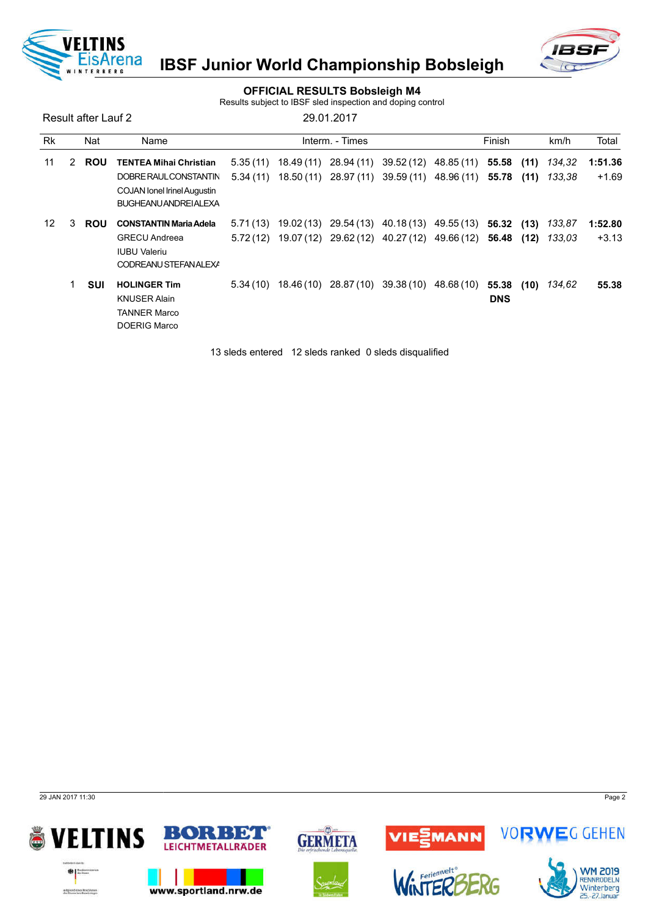



### OFFICIAL RESULTS Bobsleigh M4

Results subject to IBSF sled inspection and doping control

Result after Lauf 2 29.01.2017

| <b>Rk</b> |   | Nat        | Name                                                                                                                         |          |                      | Interm. - Times |                     |                                                                                                  | Finish                   |              | km/h             | Total              |
|-----------|---|------------|------------------------------------------------------------------------------------------------------------------------------|----------|----------------------|-----------------|---------------------|--------------------------------------------------------------------------------------------------|--------------------------|--------------|------------------|--------------------|
| 11        | 2 | <b>ROU</b> | <b>TENTEA Mihai Christian</b><br>DOBRE RAUL CONSTANTIN<br><b>COJAN lonel Irinel Augustin</b><br><b>BUGHEANU ANDREI ALEXA</b> | 5.35(11) | 18.49 (11)           | 28.94 (11)      |                     | 39.52 (12) 48.85 (11)<br>$5.34(11)$ $18.50(11)$ $28.97(11)$ $39.59(11)$ $48.96(11)$ <b>55.78</b> | 55.58                    | (11)<br>(11) | 134.32<br>133.38 | 1:51.36<br>$+1.69$ |
| 12        | 3 | <b>ROU</b> | <b>CONSTANTIN Maria Adela</b><br><b>GRECU Andreea</b><br><b>IUBU Valeriu</b><br>CODREANU STEFANALEXA                         | 5.72(12) | $5.71(13)$ 19.02(13) |                 |                     | 29.54 (13) 40.18 (13) 49.55 (13) 56.32 (13)<br>19.07 (12) 29.62 (12) 40.27 (12) 49.66 (12) 56.48 |                          | (12)         | 133,87<br>133.03 | 1:52.80<br>$+3.13$ |
|           |   | <b>SUI</b> | <b>HOLINGER Tim</b><br><b>KNUSER Alain</b><br><b>TANNER Marco</b><br><b>DOERIG Marco</b>                                     |          | $5.34(10)$ 18.46(10) |                 | 28.87(10) 39.38(10) | 48.68 (10)                                                                                       | 55.38 (10)<br><b>DNS</b> |              | 134,62           | 55.38              |

13 sleds entered 12 sleds ranked 0 sleds disqualified

29 JAN 2017 11:30 Page 2